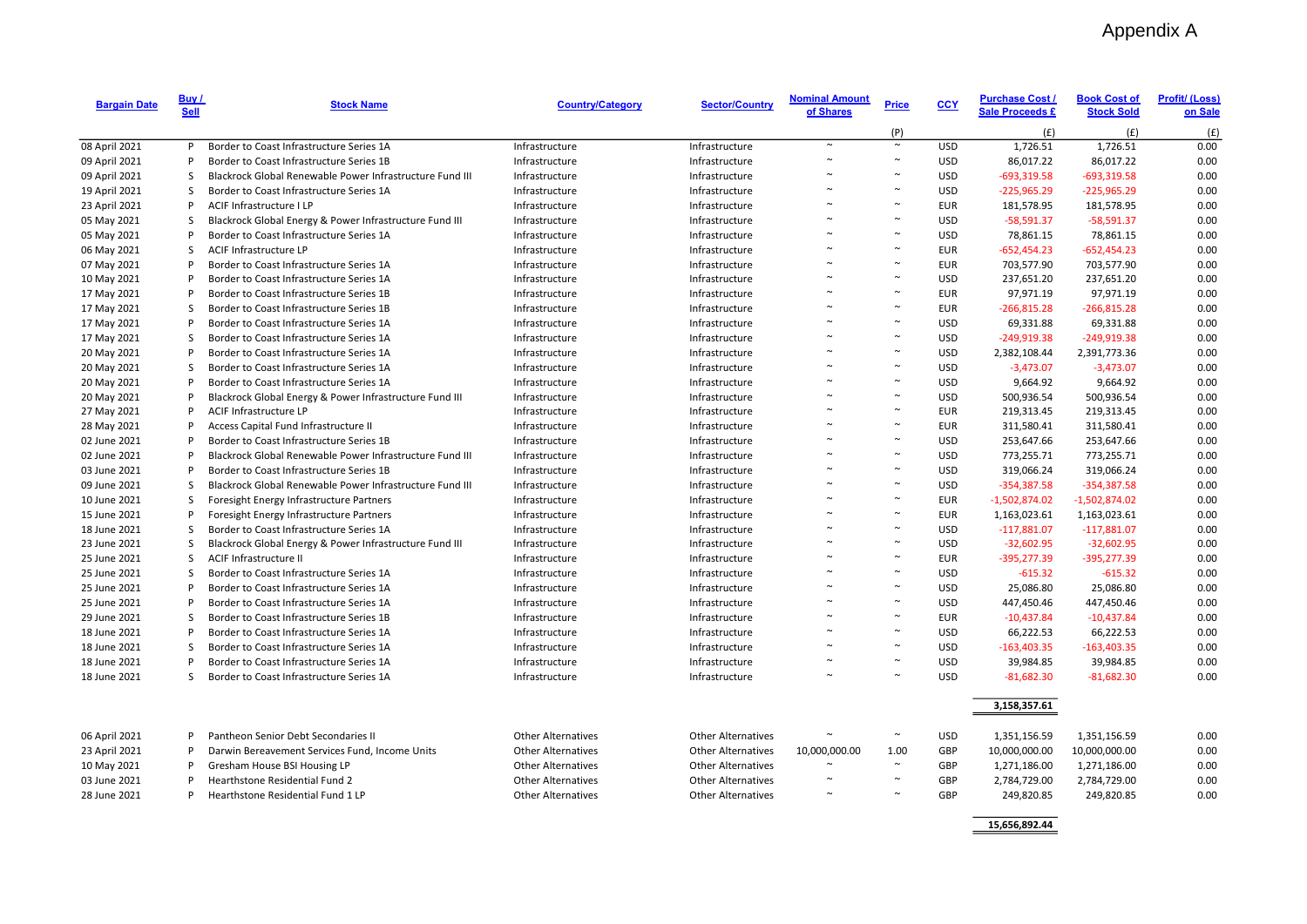| <b>Bargain Date</b> | Buy /<br><b>Sell</b> | <b>Stock Name</b>                                        | <b>Country/Category</b>   | <b>Sector/Country</b>     | <b>Nominal Amount</b><br>of Shares | <b>Price</b> | CCY        | <b>Purchase Cost /</b><br><b>Sale Proceeds £</b> | <b>Book Cost of</b><br><b>Stock Sold</b> | <b>Profit/ (Loss)</b><br>on Sale |
|---------------------|----------------------|----------------------------------------------------------|---------------------------|---------------------------|------------------------------------|--------------|------------|--------------------------------------------------|------------------------------------------|----------------------------------|
|                     |                      |                                                          |                           |                           |                                    | (P)          |            | (f)                                              | (E)                                      | (f)                              |
| 08 April 2021       | P                    | Border to Coast Infrastructure Series 1A                 | Infrastructure            | Infrastructure            | $\sim$                             | $\sim$       | <b>USD</b> | 1,726.51                                         | 1,726.51                                 | 0.00                             |
| 09 April 2021       | P                    | Border to Coast Infrastructure Series 1B                 | Infrastructure            | Infrastructure            | $\sim$                             |              | <b>USD</b> | 86,017.22                                        | 86,017.22                                | 0.00                             |
| 09 April 2021       | S                    | Blackrock Global Renewable Power Infrastructure Fund III | Infrastructure            | Infrastructure            |                                    |              | <b>USD</b> | $-693,319.58$                                    | $-693,319.58$                            | 0.00                             |
| 19 April 2021       | S                    | Border to Coast Infrastructure Series 1A                 | Infrastructure            | Infrastructure            |                                    |              | <b>USD</b> | $-225,965.29$                                    | $-225,965.29$                            | 0.00                             |
| 23 April 2021       | P                    | ACIF Infrastructure I LP                                 | Infrastructure            | Infrastructure            |                                    |              | <b>EUR</b> | 181,578.95                                       | 181,578.95                               | 0.00                             |
| 05 May 2021         | S                    | Blackrock Global Energy & Power Infrastructure Fund III  | Infrastructure            | Infrastructure            |                                    | $\sim$       | <b>USD</b> | $-58,591.37$                                     | $-58,591.37$                             | 0.00                             |
| 05 May 2021         | P                    | Border to Coast Infrastructure Series 1A                 | Infrastructure            | Infrastructure            |                                    |              | <b>USD</b> | 78,861.15                                        | 78,861.15                                | 0.00                             |
| 06 May 2021         | S                    | ACIF Infrastructure LP                                   | Infrastructure            | Infrastructure            |                                    |              | <b>EUR</b> | $-652,454.23$                                    | $-652,454.23$                            | 0.00                             |
| 07 May 2021         | P                    | Border to Coast Infrastructure Series 1A                 | Infrastructure            | Infrastructure            |                                    |              | <b>EUR</b> | 703,577.90                                       | 703,577.90                               | 0.00                             |
| 10 May 2021         | P                    | Border to Coast Infrastructure Series 1A                 | Infrastructure            | Infrastructure            |                                    |              | <b>USD</b> | 237,651.20                                       | 237,651.20                               | 0.00                             |
| 17 May 2021         | P                    | Border to Coast Infrastructure Series 1B                 | Infrastructure            | Infrastructure            |                                    |              | <b>EUR</b> | 97,971.19                                        | 97,971.19                                | 0.00                             |
| 17 May 2021         | <sub>S</sub>         | Border to Coast Infrastructure Series 1B                 | Infrastructure            | Infrastructure            |                                    |              | <b>EUR</b> | $-266,815.28$                                    | $-266,815.28$                            | 0.00                             |
| 17 May 2021         | P                    | Border to Coast Infrastructure Series 1A                 | Infrastructure            | Infrastructure            |                                    |              | <b>USD</b> | 69,331.88                                        | 69,331.88                                | 0.00                             |
| 17 May 2021         | S                    | Border to Coast Infrastructure Series 1A                 | Infrastructure            | Infrastructure            |                                    |              | <b>USD</b> | $-249,919.38$                                    | $-249,919.38$                            | 0.00                             |
| 20 May 2021         | P                    | Border to Coast Infrastructure Series 1A                 | Infrastructure            | Infrastructure            |                                    |              | <b>USD</b> | 2,382,108.44                                     | 2,391,773.36                             | 0.00                             |
| 20 May 2021         | S                    | Border to Coast Infrastructure Series 1A                 | Infrastructure            | Infrastructure            |                                    |              | <b>USD</b> | $-3,473.07$                                      | $-3,473.07$                              | 0.00                             |
| 20 May 2021         | P                    | Border to Coast Infrastructure Series 1A                 | Infrastructure            | Infrastructure            |                                    | $\sim$       | <b>USD</b> | 9,664.92                                         | 9,664.92                                 | 0.00                             |
| 20 May 2021         | P                    | Blackrock Global Energy & Power Infrastructure Fund III  | Infrastructure            | Infrastructure            |                                    |              | <b>USD</b> | 500,936.54                                       | 500,936.54                               | 0.00                             |
| 27 May 2021         | P                    | ACIF Infrastructure LP                                   | Infrastructure            | Infrastructure            | $\sim$                             | $\sim$       | <b>EUR</b> | 219,313.45                                       | 219,313.45                               | 0.00                             |
| 28 May 2021         | P                    | Access Capital Fund Infrastructure II                    | Infrastructure            | Infrastructure            |                                    |              | <b>EUR</b> | 311,580.41                                       | 311,580.41                               | 0.00                             |
| 02 June 2021        | P                    | Border to Coast Infrastructure Series 1B                 | Infrastructure            | Infrastructure            |                                    |              | <b>USD</b> | 253,647.66                                       | 253,647.66                               | 0.00                             |
| 02 June 2021        | P                    | Blackrock Global Renewable Power Infrastructure Fund III | Infrastructure            | Infrastructure            |                                    |              | <b>USD</b> | 773,255.71                                       | 773,255.71                               | 0.00                             |
| 03 June 2021        | P                    | Border to Coast Infrastructure Series 1B                 | Infrastructure            | Infrastructure            |                                    |              | <b>USD</b> | 319,066.24                                       | 319,066.24                               | 0.00                             |
| 09 June 2021        | S                    | Blackrock Global Renewable Power Infrastructure Fund III | Infrastructure            | Infrastructure            |                                    |              | <b>USD</b> | $-354,387.58$                                    | $-354,387.58$                            | 0.00                             |
| 10 June 2021        | S                    | Foresight Energy Infrastructure Partners                 | Infrastructure            | Infrastructure            |                                    |              | <b>EUR</b> | $-1,502,874.02$                                  | $-1,502,874.02$                          | 0.00                             |
| 15 June 2021        | P                    | Foresight Energy Infrastructure Partners                 | Infrastructure            | Infrastructure            |                                    |              | <b>EUR</b> | 1,163,023.61                                     | 1,163,023.61                             | 0.00                             |
| 18 June 2021        | S                    | Border to Coast Infrastructure Series 1A                 | Infrastructure            | Infrastructure            |                                    |              | <b>USD</b> | $-117,881.07$                                    | $-117,881.07$                            | 0.00                             |
| 23 June 2021        | S.                   | Blackrock Global Energy & Power Infrastructure Fund III  | Infrastructure            | Infrastructure            |                                    |              | <b>USD</b> | $-32,602.95$                                     | $-32,602.95$                             | 0.00                             |
| 25 June 2021        | S                    | ACIF Infrastructure II                                   | Infrastructure            | Infrastructure            |                                    |              | <b>EUR</b> | $-395,277.39$                                    | $-395,277.39$                            | 0.00                             |
| 25 June 2021        | S                    | Border to Coast Infrastructure Series 1A                 | Infrastructure            | Infrastructure            |                                    |              | <b>USD</b> | $-615.32$                                        | $-615.32$                                | 0.00                             |
| 25 June 2021        | P                    | Border to Coast Infrastructure Series 1A                 | Infrastructure            | Infrastructure            |                                    |              | <b>USD</b> | 25,086.80                                        | 25,086.80                                | 0.00                             |
| 25 June 2021        | P                    | Border to Coast Infrastructure Series 1A                 | Infrastructure            | Infrastructure            | $\sim$                             |              | <b>USD</b> | 447,450.46                                       | 447,450.46                               | 0.00                             |
| 29 June 2021        | S                    | Border to Coast Infrastructure Series 1B                 | Infrastructure            | Infrastructure            |                                    |              | <b>EUR</b> | $-10,437.84$                                     | $-10,437.84$                             | 0.00                             |
| 18 June 2021        | P                    | Border to Coast Infrastructure Series 1A                 | Infrastructure            | Infrastructure            |                                    |              | <b>USD</b> | 66,222.53                                        | 66,222.53                                | 0.00                             |
| 18 June 2021        | S                    | Border to Coast Infrastructure Series 1A                 | Infrastructure            | Infrastructure            |                                    |              | <b>USD</b> | $-163,403.35$                                    | $-163,403.35$                            | 0.00                             |
| 18 June 2021        | P                    | Border to Coast Infrastructure Series 1A                 | Infrastructure            | Infrastructure            |                                    |              | <b>USD</b> | 39,984.85                                        | 39,984.85                                | 0.00                             |
| 18 June 2021        | S.                   | Border to Coast Infrastructure Series 1A                 | Infrastructure            | Infrastructure            |                                    |              | <b>USD</b> | $-81,682.30$                                     | $-81,682.30$                             | 0.00                             |
|                     |                      |                                                          |                           |                           |                                    |              |            |                                                  |                                          |                                  |
|                     |                      |                                                          |                           |                           |                                    |              |            | 3,158,357.61                                     |                                          |                                  |
| 06 April 2021       | P                    | Pantheon Senior Debt Secondaries II                      | <b>Other Alternatives</b> | <b>Other Alternatives</b> |                                    | $\sim$       | <b>USD</b> | 1,351,156.59                                     | 1,351,156.59                             | 0.00                             |
| 23 April 2021       | P                    | Darwin Bereavement Services Fund, Income Units           | <b>Other Alternatives</b> | <b>Other Alternatives</b> | 10,000,000.00                      | 1.00         | GBP        | 10,000,000.00                                    | 10,000,000.00                            | 0.00                             |
| 10 May 2021         | P                    | Gresham House BSI Housing LP                             | <b>Other Alternatives</b> | <b>Other Alternatives</b> |                                    | $\sim$       | GBP        | 1,271,186.00                                     | 1,271,186.00                             | 0.00                             |
| 03 June 2021        | P                    | Hearthstone Residential Fund 2                           | <b>Other Alternatives</b> | <b>Other Alternatives</b> |                                    |              | GBP        | 2,784,729.00                                     | 2,784,729.00                             | 0.00                             |
| 28 June 2021        | P                    | Hearthstone Residential Fund 1 LP                        | <b>Other Alternatives</b> | <b>Other Alternatives</b> |                                    | $\sim$       | GBP        | 249,820.85                                       | 249,820.85                               | 0.00                             |

15,656,892.44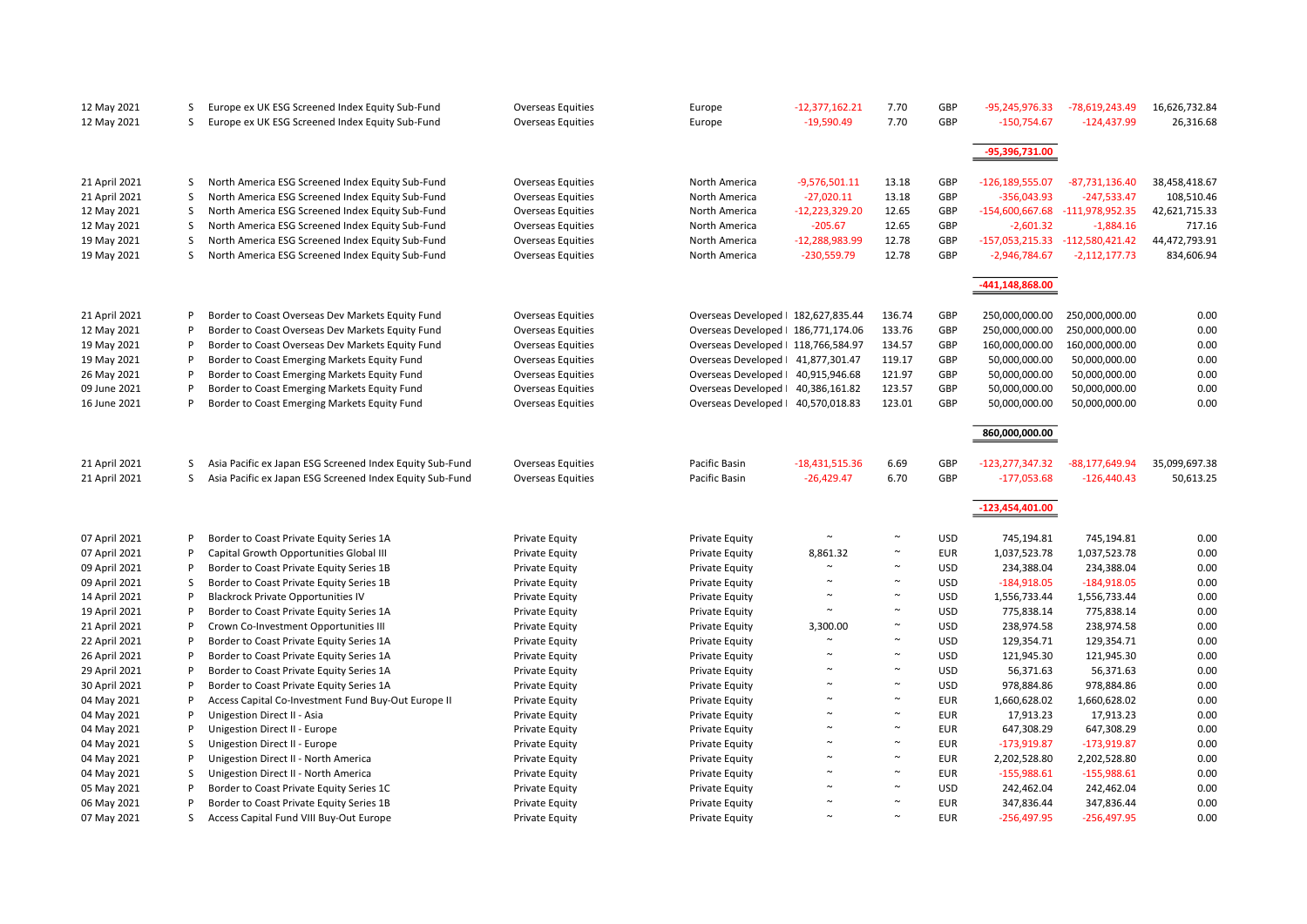| 12 May 2021   | S  | Europe ex UK ESG Screened Index Equity Sub-Fund          | <b>Overseas Equities</b> | Europe                    | $-12,377,162.21$ | 7.70   | GBP        | -95,245,976.33    | -78,619,243.49    | 16,626,732.84 |
|---------------|----|----------------------------------------------------------|--------------------------|---------------------------|------------------|--------|------------|-------------------|-------------------|---------------|
| 12 May 2021   | S. | Europe ex UK ESG Screened Index Equity Sub-Fund          | <b>Overseas Equities</b> | Europe                    | $-19,590.49$     | 7.70   | GBP        | $-150,754.67$     | $-124,437.99$     | 26,316.68     |
|               |    |                                                          |                          |                           |                  |        |            |                   |                   |               |
|               |    |                                                          |                          |                           |                  |        |            |                   |                   |               |
|               |    |                                                          |                          |                           |                  |        |            | -95,396,731.00    |                   |               |
|               |    |                                                          |                          |                           |                  |        |            |                   |                   |               |
| 21 April 2021 | S  | North America ESG Screened Index Equity Sub-Fund         | <b>Overseas Equities</b> | North America             | $-9,576,501.11$  | 13.18  | GBP        | -126,189,555.07   | $-87,731,136.40$  | 38,458,418.67 |
| 21 April 2021 | S  | North America ESG Screened Index Equity Sub-Fund         | Overseas Equities        | North America             | $-27,020.11$     | 13.18  | GBP        | $-356,043.93$     | -247,533.47       | 108,510.46    |
| 12 May 2021   | S  | North America ESG Screened Index Equity Sub-Fund         | <b>Overseas Equities</b> | North America             | $-12,223,329.20$ | 12.65  | GBP        | -154,600,667.68   | $-111,978,952.35$ | 42,621,715.33 |
| 12 May 2021   | S  | North America ESG Screened Index Equity Sub-Fund         | <b>Overseas Equities</b> | North America             | $-205.67$        | 12.65  | GBP        | $-2,601.32$       | $-1,884.16$       | 717.16        |
| 19 May 2021   | S  | North America ESG Screened Index Equity Sub-Fund         | Overseas Equities        | North America             | $-12,288,983.99$ | 12.78  | GBP        | $-157,053,215.33$ | $-112,580,421.42$ | 44,472,793.91 |
| 19 May 2021   | S. | North America ESG Screened Index Equity Sub-Fund         | <b>Overseas Equities</b> | North America             | $-230,559.79$    | 12.78  | GBP        | $-2,946,784.67$   | $-2,112,177.73$   | 834,606.94    |
|               |    |                                                          |                          |                           |                  |        |            |                   |                   |               |
|               |    |                                                          |                          |                           |                  |        |            | -441,148,868.00   |                   |               |
|               |    |                                                          |                          |                           |                  |        |            |                   |                   |               |
| 21 April 2021 | P  | Border to Coast Overseas Dev Markets Equity Fund         | Overseas Equities        | Overseas Developed        | 182,627,835.44   | 136.74 | GBP        | 250,000,000.00    | 250,000,000.00    | 0.00          |
| 12 May 2021   | P  | Border to Coast Overseas Dev Markets Equity Fund         | <b>Overseas Equities</b> | Overseas Developed        | 186,771,174.06   | 133.76 | GBP        | 250,000,000.00    | 250,000,000.00    | 0.00          |
| 19 May 2021   | P  | Border to Coast Overseas Dev Markets Equity Fund         | <b>Overseas Equities</b> | Overseas Developed        | 118,766,584.97   | 134.57 | GBP        | 160,000,000.00    | 160,000,000.00    | 0.00          |
| 19 May 2021   | P  | Border to Coast Emerging Markets Equity Fund             | <b>Overseas Equities</b> | Overseas Developed        | 41,877,301.47    | 119.17 | GBP        | 50,000,000.00     | 50,000,000.00     | 0.00          |
| 26 May 2021   | P  | Border to Coast Emerging Markets Equity Fund             | <b>Overseas Equities</b> | <b>Overseas Developed</b> | 40,915,946.68    | 121.97 | GBP        | 50,000,000.00     | 50,000,000.00     | 0.00          |
| 09 June 2021  | P  | Border to Coast Emerging Markets Equity Fund             | <b>Overseas Equities</b> | Overseas Developed        | 40,386,161.82    | 123.57 | GBP        | 50,000,000.00     | 50,000,000.00     | 0.00          |
| 16 June 2021  | P  | Border to Coast Emerging Markets Equity Fund             | <b>Overseas Equities</b> | Overseas Developed        | 40,570,018.83    | 123.01 | GBP        | 50,000,000.00     | 50,000,000.00     | 0.00          |
|               |    |                                                          |                          |                           |                  |        |            |                   |                   |               |
|               |    |                                                          |                          |                           |                  |        |            | 860,000,000.00    |                   |               |
|               |    |                                                          |                          |                           |                  |        |            |                   |                   |               |
| 21 April 2021 | S  | Asia Pacific ex Japan ESG Screened Index Equity Sub-Fund | Overseas Equities        | Pacific Basin             | $-18,431,515.36$ | 6.69   | GBP        | $-123,277,347.32$ | $-88,177,649.94$  | 35,099,697.38 |
| 21 April 2021 | S. | Asia Pacific ex Japan ESG Screened Index Equity Sub-Fund | <b>Overseas Equities</b> | Pacific Basin             | $-26,429.47$     | 6.70   | GBP        | $-177,053.68$     | $-126,440.43$     | 50,613.25     |
|               |    |                                                          |                          |                           |                  |        |            |                   |                   |               |
|               |    |                                                          |                          |                           |                  |        |            | $-123,454,401.00$ |                   |               |
|               |    |                                                          |                          |                           |                  |        |            |                   |                   |               |
| 07 April 2021 | P  | Border to Coast Private Equity Series 1A                 | <b>Private Equity</b>    | Private Equity            |                  |        | <b>USD</b> | 745,194.81        | 745,194.81        | 0.00          |
| 07 April 2021 | P  | Capital Growth Opportunities Global III                  | <b>Private Equity</b>    | Private Equity            | 8,861.32         | $\sim$ | <b>EUR</b> | 1,037,523.78      | 1,037,523.78      | 0.00          |
| 09 April 2021 | P  | Border to Coast Private Equity Series 1B                 | <b>Private Equity</b>    | Private Equity            |                  | $\sim$ | <b>USD</b> | 234,388.04        | 234,388.04        | 0.00          |
| 09 April 2021 | S  | Border to Coast Private Equity Series 1B                 | Private Equity           | <b>Private Equity</b>     |                  | $\sim$ | <b>USD</b> | $-184,918.05$     | $-184,918.05$     | 0.00          |
| 14 April 2021 | P  | <b>Blackrock Private Opportunities IV</b>                | Private Equity           | <b>Private Equity</b>     |                  | $\sim$ | <b>USD</b> | 1,556,733.44      | 1,556,733.44      | 0.00          |
| 19 April 2021 | P  | Border to Coast Private Equity Series 1A                 | <b>Private Equity</b>    | Private Equity            | $\sim$           | $\sim$ | <b>USD</b> | 775,838.14        | 775,838.14        | 0.00          |
|               | P  |                                                          |                          |                           |                  | $\sim$ |            |                   |                   |               |
| 21 April 2021 |    | Crown Co-Investment Opportunities III                    | Private Equity           | <b>Private Equity</b>     | 3,300.00         |        | <b>USD</b> | 238,974.58        | 238,974.58        | 0.00          |
| 22 April 2021 | P  | Border to Coast Private Equity Series 1A                 | <b>Private Equity</b>    | <b>Private Equity</b>     | $\sim$           | $\sim$ | <b>USD</b> | 129,354.71        | 129,354.71        | 0.00          |
| 26 April 2021 | P  | Border to Coast Private Equity Series 1A                 | <b>Private Equity</b>    | <b>Private Equity</b>     |                  |        | <b>USD</b> | 121,945.30        | 121,945.30        | 0.00          |
| 29 April 2021 | P  | Border to Coast Private Equity Series 1A                 | <b>Private Equity</b>    | Private Equity            |                  | $\sim$ | <b>USD</b> | 56,371.63         | 56,371.63         | 0.00          |
| 30 April 2021 | P  | Border to Coast Private Equity Series 1A                 | Private Equity           | <b>Private Equity</b>     | $\sim$           | $\sim$ | <b>USD</b> | 978,884.86        | 978,884.86        | 0.00          |
| 04 May 2021   | P  | Access Capital Co-Investment Fund Buy-Out Europe II      | <b>Private Equity</b>    | <b>Private Equity</b>     | $\sim$           | $\sim$ | <b>EUR</b> | 1,660,628.02      | 1,660,628.02      | 0.00          |
| 04 May 2021   | P  | Unigestion Direct II - Asia                              | <b>Private Equity</b>    | Private Equity            | $\sim$           | $\sim$ | <b>EUR</b> | 17,913.23         | 17,913.23         | 0.00          |
| 04 May 2021   | P  | Unigestion Direct II - Europe                            | <b>Private Equity</b>    | Private Equity            | $\sim$           | $\sim$ | <b>EUR</b> | 647,308.29        | 647,308.29        | 0.00          |
| 04 May 2021   | S  | Unigestion Direct II - Europe                            | <b>Private Equity</b>    | <b>Private Equity</b>     | $\tilde{ }$      | $\sim$ | <b>EUR</b> | -173,919.87       | $-173,919.87$     | 0.00          |
| 04 May 2021   | P  | Unigestion Direct II - North America                     | <b>Private Equity</b>    | <b>Private Equity</b>     |                  | $\sim$ | <b>EUR</b> | 2,202,528.80      | 2,202,528.80      | 0.00          |
| 04 May 2021   | S  | Unigestion Direct II - North America                     | <b>Private Equity</b>    | Private Equity            | $\tilde{ }$      | $\sim$ | <b>EUR</b> | $-155,988.61$     | $-155,988.61$     | 0.00          |
| 05 May 2021   | P  | Border to Coast Private Equity Series 1C                 | <b>Private Equity</b>    | Private Equity            |                  |        | <b>USD</b> | 242,462.04        | 242,462.04        | 0.00          |
| 06 May 2021   | P  | Border to Coast Private Equity Series 1B                 | <b>Private Equity</b>    | Private Equity            | $\sim$           | $\sim$ | <b>EUR</b> | 347,836.44        | 347,836.44        | 0.00          |
| 07 May 2021   | S. | Access Capital Fund VIII Buy-Out Europe                  | <b>Private Equity</b>    | Private Equity            | $\sim$           | $\sim$ | <b>EUR</b> | $-256,497.95$     | $-256,497.95$     | 0.00          |
|               |    |                                                          |                          |                           |                  |        |            |                   |                   |               |